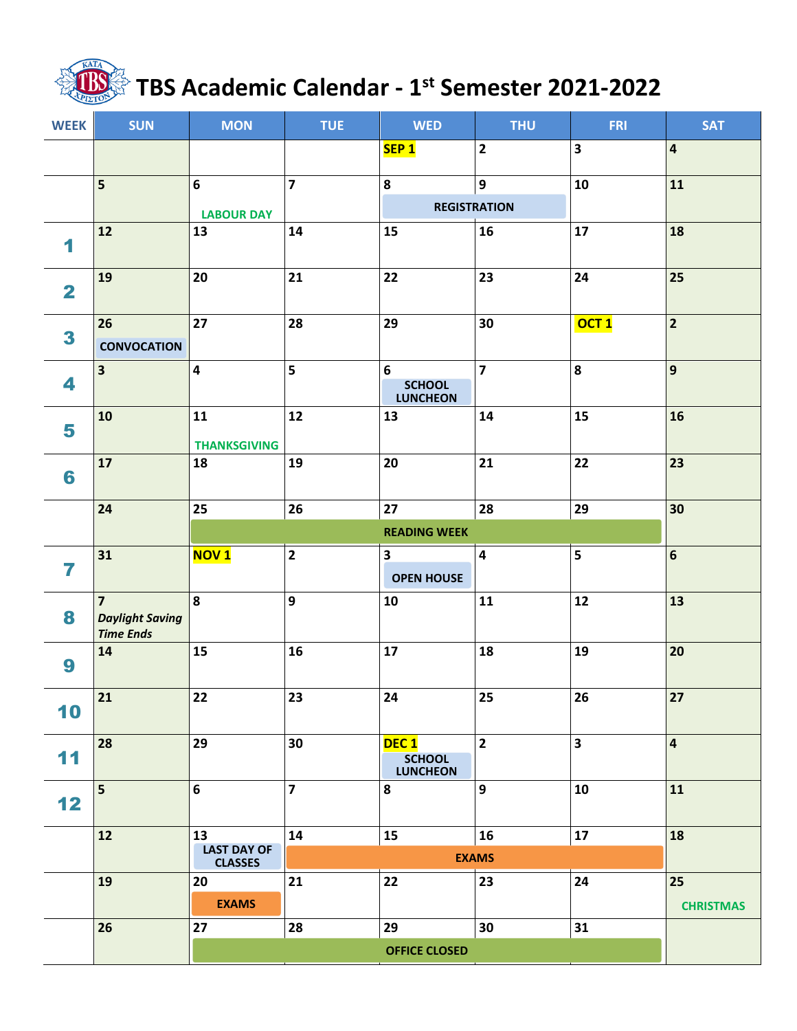## **TBS Academic Calendar - 1 st Semester 2021-2022**

| <b>WEEK</b>             | <b>SUN</b>                                                   | <b>MON</b>                                 | <b>TUE</b>              | <b>WED</b>                                           | <b>THU</b>              | <b>FRI</b>              | <b>SAT</b>              |
|-------------------------|--------------------------------------------------------------|--------------------------------------------|-------------------------|------------------------------------------------------|-------------------------|-------------------------|-------------------------|
|                         |                                                              |                                            |                         | SEP <sub>1</sub>                                     | $\overline{\mathbf{2}}$ | $\overline{\mathbf{3}}$ | $\overline{\mathbf{4}}$ |
|                         | 5                                                            | 6                                          | $\overline{\mathbf{z}}$ | 8                                                    | $\boldsymbol{9}$        | 10                      | 11                      |
|                         |                                                              | <b>LABOUR DAY</b>                          |                         | <b>REGISTRATION</b>                                  |                         |                         |                         |
| 1                       | 12                                                           | 13                                         | 14                      | 15                                                   | 16                      | 17                      | 18                      |
| $\overline{\mathbf{2}}$ | 19                                                           | 20                                         | 21                      | 22                                                   | 23                      | 24                      | 25                      |
| 3                       | 26<br><b>CONVOCATION</b>                                     | 27                                         | 28                      | 29                                                   | 30                      | OCT <sub>1</sub>        | $\overline{2}$          |
| 4                       | $\overline{\mathbf{3}}$                                      | 4                                          | $\overline{\mathbf{5}}$ | 6<br><b>SCHOOL</b><br><b>LUNCHEON</b>                | $\overline{7}$          | 8                       | 9                       |
| 5                       | 10                                                           | 11<br><b>THANKSGIVING</b>                  | 12                      | 13                                                   | 14                      | 15                      | 16                      |
| 6                       | 17                                                           | 18                                         | 19                      | 20                                                   | 21                      | 22                      | 23                      |
|                         | 24                                                           | 25                                         | 26                      | 27                                                   | 28                      | 29                      | 30                      |
|                         |                                                              |                                            |                         | <b>READING WEEK</b>                                  |                         |                         |                         |
| 7                       | 31                                                           | <b>NOV1</b>                                | $\overline{\mathbf{2}}$ | 3<br><b>OPEN HOUSE</b>                               | $\overline{\mathbf{4}}$ | 5                       | $6\phantom{a}$          |
| 8                       | $\overline{7}$<br><b>Daylight Saving</b><br><b>Time Ends</b> | 8                                          | 9                       | 10                                                   | 11                      | 12                      | 13                      |
| 9                       | 14                                                           | 15                                         | 16                      | 17                                                   | 18                      | 19                      | 20                      |
| 10                      | 21                                                           | 22                                         | 23                      | 24                                                   | 25                      | $26\phantom{.}$         | 27                      |
| 11                      | 28                                                           | 29                                         | 30                      | DEC <sub>1</sub><br><b>SCHOOL</b><br><b>LUNCHEON</b> | $\overline{\mathbf{2}}$ | $\overline{\mathbf{3}}$ | $\overline{\mathbf{4}}$ |
| 12                      | 5                                                            | 6                                          | $\overline{\mathbf{z}}$ | 8                                                    | 9                       | 10                      | 11                      |
|                         | 12                                                           | 13<br><b>LAST DAY OF</b><br><b>CLASSES</b> | 14                      | 15                                                   | 16<br><b>EXAMS</b>      | 17                      | 18                      |
|                         | 19                                                           | 20                                         | 21                      | 22                                                   | 23                      | 24                      | 25                      |
|                         |                                                              | <b>EXAMS</b>                               |                         |                                                      |                         |                         | <b>CHRISTMAS</b>        |
|                         | 26                                                           | 27                                         | 28                      | 29                                                   | 30                      | 31                      |                         |
|                         |                                                              |                                            |                         |                                                      |                         |                         |                         |